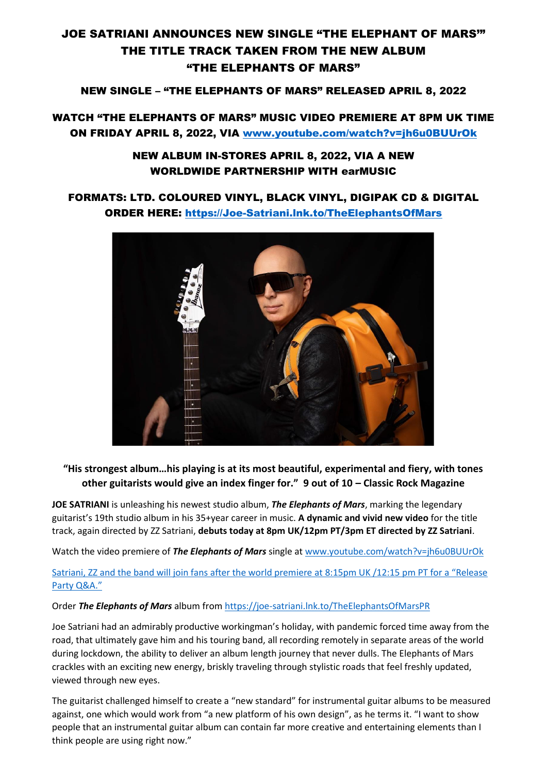# JOE SATRIANI ANNOUNCES NEW SINGLE "THE ELEPHANT OF MARS'" THE TITLE TRACK TAKEN FROM THE NEW ALBUM "THE ELEPHANTS OF MARS"

### NEW SINGLE – "THE ELEPHANTS OF MARS" RELEASED APRIL 8, 2022

## WATCH "THE ELEPHANTS OF MARS" MUSIC VIDEO PREMIERE AT 8PM UK TIME ON FRIDAY APRIL 8, 2022, VIA [www.youtube.com/watch?v=jh6u0BUUrOk](http://www.youtube.com/watch?v=jh6u0BUUrOk)

### NEW ALBUM IN-STORES APRIL 8, 2022, VIA A NEW WORLDWIDE PARTNERSHIP WITH earMUSIC

## FORMATS: LTD. COLOURED VINYL, BLACK VINYL, DIGIPAK CD & DIGITAL ORDER HERE: [https://Joe-Satriani.lnk.to/TheElephantsOfMars](https://joe-satriani.lnk.to/TheElephantsOfMars)



### **"His strongest album…his playing is at its most beautiful, experimental and fiery, with tones other guitarists would give an index finger for." 9 out of 10 – Classic Rock Magazine**

**JOE SATRIANI** is unleashing his newest studio album, *The Elephants of Mars*, marking the legendary guitarist's 19th studio album in his 35+year career in music. **A dynamic and vivid new video** for the title track, again directed by ZZ Satriani, **debuts today at 8pm UK/12pm PT/3pm ET directed by ZZ Satriani**.

Watch the video premiere of *The Elephants of Mars* single at [www.youtube.com/watch?v=jh6u0BUUrOk](http://www.youtube.com/watch?v=jh6u0BUUrOk)

### [Satriani, ZZ and the band will join fans after the world premiere at 8:15pm UK /](http://www.satriani.com/discography/The_Elephants_of_Mars/)12:15 pm PT for a "Release [Party Q&A."](http://www.satriani.com/discography/The_Elephants_of_Mars/)

### Order *The Elephants of Mars* album fro[m https://joe-satriani.lnk.to/TheElephantsOfMarsPR](https://joe-satriani.lnk.to/TheElephantsOfMarsPR)

Joe Satriani had an admirably productive workingman's holiday, with pandemic forced time away from the road, that ultimately gave him and his touring band, all recording remotely in separate areas of the world during lockdown, the ability to deliver an album length journey that never dulls. The Elephants of Mars crackles with an exciting new energy, briskly traveling through stylistic roads that feel freshly updated, viewed through new eyes.

The guitarist challenged himself to create a "new standard" for instrumental guitar albums to be measured against, one which would work from "a new platform of his own design", as he terms it. "I want to show people that an instrumental guitar album can contain far more creative and entertaining elements than I think people are using right now."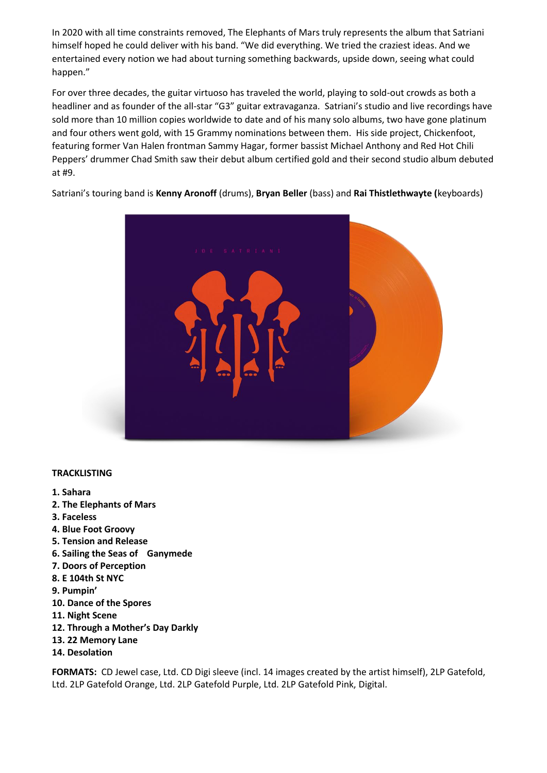In 2020 with all time constraints removed, The Elephants of Mars truly represents the album that Satriani himself hoped he could deliver with his band. "We did everything. We tried the craziest ideas. And we entertained every notion we had about turning something backwards, upside down, seeing what could happen."

For over three decades, the guitar virtuoso has traveled the world, playing to sold-out crowds as both a headliner and as founder of the all-star "G3" guitar extravaganza. Satriani's studio and live recordings have sold more than 10 million copies worldwide to date and of his many solo albums, two have gone platinum and four others went gold, with 15 Grammy nominations between them. His side project, Chickenfoot, featuring former Van Halen frontman Sammy Hagar, former bassist Michael Anthony and Red Hot Chili Peppers' drummer Chad Smith saw their debut album certified gold and their second studio album debuted at #9.

Satriani's touring band is **Kenny Aronoff** (drums), **Bryan Beller** (bass) and **Rai Thistlethwayte (**keyboards)



### **TRACKLISTING**

- **1. Sahara**
- **2. The Elephants of Mars**
- **3. Faceless**
- **4. Blue Foot Groovy**
- **5. Tension and Release**
- **6. Sailing the Seas of Ganymede**
- **7. Doors of Perception**
- **8. E 104th St NYC**
- **9. Pumpin'**
- **10. Dance of the Spores**
- **11. Night Scene**
- **12. Through a Mother's Day Darkly**
- **13. 22 Memory Lane**
- **14. Desolation**

**FORMATS:** CD Jewel case, Ltd. CD Digi sleeve (incl. 14 images created by the artist himself), 2LP Gatefold, Ltd. 2LP Gatefold Orange, Ltd. 2LP Gatefold Purple, Ltd. 2LP Gatefold Pink, Digital.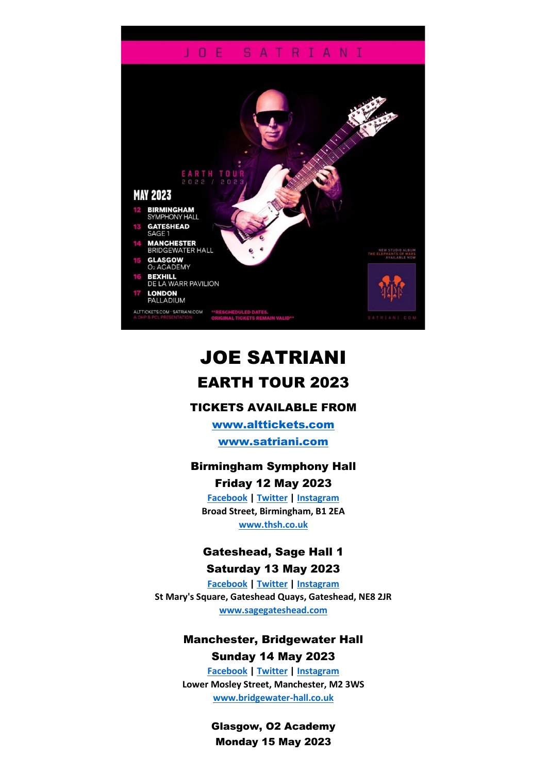### JOE SATRIANI



# JOE SATRIANI EARTH TOUR 2023

### TICKETS AVAILABLE FROM

[www.alttickets.com](http://www.alttickets.com/) [www.satriani.com](http://www.satriani.com/)

## Birmingham Symphony Hall

Friday 12 May 2023 **[Facebook](https://www.facebook.com/townhallsymphonyhall) | [Twitter](https://twitter.com/THSHbirmingham) | [Instagram](https://www.instagram.com/thsh_birmingham/) Broad Street, Birmingham, B1 2EA [www.thsh.co.uk](https://www.thsh.co.uk/)**

## Gateshead, Sage Hall 1 Saturday 13 May 2023

**[Facebook](https://www.facebook.com/sagegateshead) | [Twitter](https://twitter.com/sage_gateshead) | [Instagram](https://www.instagram.com/sage_gateshead/) St Mary's Square, Gateshead Quays, Gateshead, NE8 2JR [www.sagegateshead.com](http://www.sagegateshead.com/)**

### Manchester, Bridgewater Hall Sunday 14 May 2023

**[Facebook](https://www.facebook.com/TheBridgewaterHall/) | [Twitter](https://twitter.com/BridgewaterHall) | [Instagram](https://www.instagram.com/bridgewaterhall/) Lower Mosley Street, Manchester, M2 3WS [www.bridgewater-hall.co.uk](https://www.bridgewater-hall.co.uk/)**

> Glasgow, O2 Academy Monday 15 May 2023